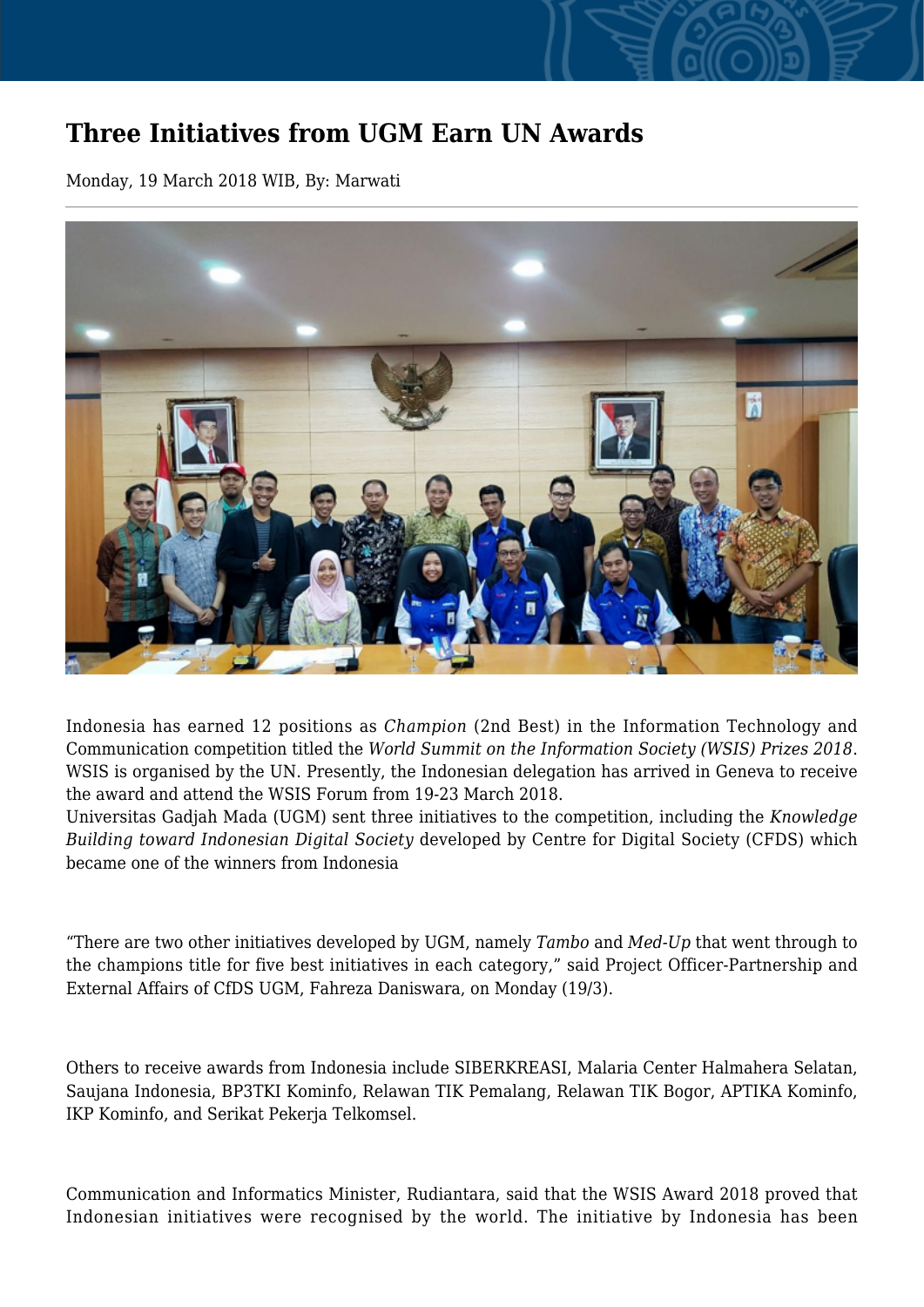## **Three Initiatives from UGM Earn UN Awards**

Monday, 19 March 2018 WIB, By: Marwati



Indonesia has earned 12 positions as *Champion* (2nd Best) in the Information Technology and Communication competition titled the *World Summit on the Information Society (WSIS) Prizes 2018*. WSIS is organised by the UN. Presently, the Indonesian delegation has arrived in Geneva to receive the award and attend the WSIS Forum from 19-23 March 2018.

Universitas Gadjah Mada (UGM) sent three initiatives to the competition, including the *Knowledge Building toward Indonesian Digital Society* developed by Centre for Digital Society (CFDS) which became one of the winners from Indonesia

"There are two other initiatives developed by UGM, namely *Tambo* and *Med-Up* that went through to the champions title for five best initiatives in each category," said Project Officer-Partnership and External Affairs of CfDS UGM, Fahreza Daniswara, on Monday (19/3).

Others to receive awards from Indonesia include SIBERKREASI, Malaria Center Halmahera Selatan, Saujana Indonesia, BP3TKI Kominfo, Relawan TIK Pemalang, Relawan TIK Bogor, APTIKA Kominfo, IKP Kominfo, and Serikat Pekerja Telkomsel.

Communication and Informatics Minister, Rudiantara, said that the WSIS Award 2018 proved that Indonesian initiatives were recognised by the world. The initiative by Indonesia has been